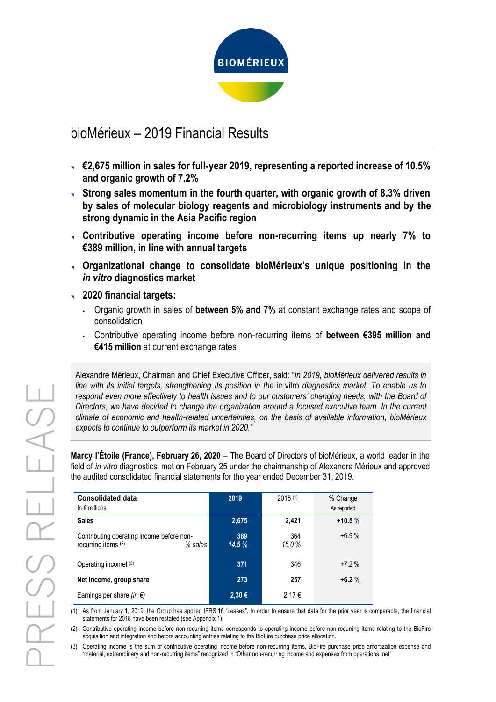

# bioMérieux – 2019 Financial Results

- **€2,675 million in sales for full-year 2019, representing a reported increase of 10.5% and organic growth of 7.2%**
- **Strong sales momentum in the fourth quarter, with organic growth of 8.3% driven by sales of molecular biology reagents and microbiology instruments and by the strong dynamic in the Asia Pacific region**
- **Contributive operating income before non-recurring items up nearly 7% to €389 million, in line with annual targets**
- **Organizational change to consolidate bioMérieux's unique positioning in the**  *in vitro* **diagnostics market**
- **2020 financial targets:**
	- Organic growth in sales of **between 5% and 7%** at constant exchange rates and scope of consolidation
	- Contributive operating income before non-recurring items of **between €395 million and €415 million** at current exchange rates

Alexandre Mérieux, Chairman and Chief Executive Officer, said: "*In 2019, bioMérieux delivered results in line with its initial targets, strengthening its position in the* in vitro *diagnostics market. To enable us to respond even more effectively to health issues and to our customers' changing needs, with the Board of Directors, we have decided to change the organization around a focused executive team. In the current climate of economic and health-related uncertainties, on the basis of available information, bioMérieux expects to continue to outperform its market in 2020.*"

**Marcy l'Étoile (France), February 26, 2020** – The Board of Directors of bioMérieux, a world leader in the field of *in vitro* diagnostics, met on February 25 under the chairmanship of Alexandre Mérieux and approved the audited consolidated financial statements for the year ended December 31, 2019.

| <b>Consolidated data</b><br>In $\epsilon$ millions                            | 2019          | 2018(1)      | % Change<br>As reported |
|-------------------------------------------------------------------------------|---------------|--------------|-------------------------|
| <b>Sales</b>                                                                  | 2,675         | 2,421        | $+10.5%$                |
| Contributing operating income before non-<br>recurring items (2)<br>$%$ sales | 389<br>14.5 % | 364<br>15,0% | $+6.9%$                 |
| Operating incomel (3)                                                         | 371           | 346          | $+7.2%$                 |
| Net income, group share                                                       | 273           | 257          | $+6.2%$                 |
| Earnings per share (in $\epsilon$ )                                           | 2,30 €        | 2.17€        |                         |

(1) As from January 1, 2019, the Group has applied IFRS 16 "Leases". In order to ensure that data for the prior year is comparable, the financial statements for 2018 have been restated (see Appendix 1).

(2) Contributive operating income before non-recurring items corresponds to operating income before non-recurring items relating to the BioFire acquisition and integration and before accounting entries relating to the BioFire purchase price allocation.

(3) Operating income is the sum of contributive operating income before non-recurring items, BioFire purchase price amortization expense and "material, extraordinary and non-recurring items" recognized in "Other non-recurring income and expenses from operations, net".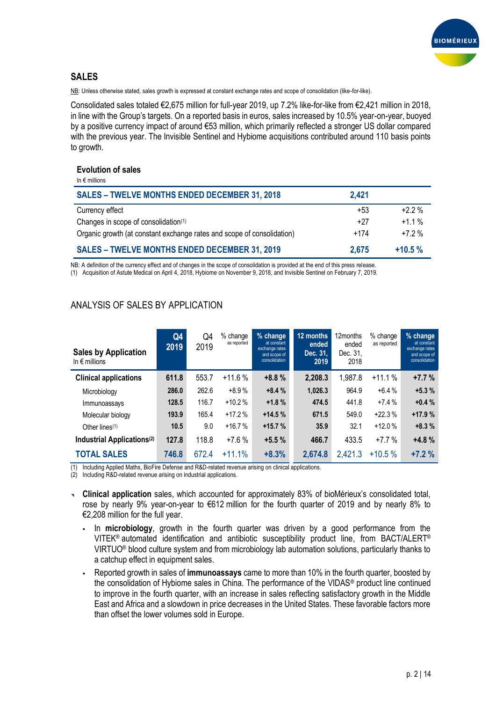

# **SALES**

NB: Unless otherwise stated, sales growth is expressed at constant exchange rates and scope of consolidation (like-for-like).

Consolidated sales totaled €2,675 million for full-year 2019, up 7.2% like-for-like from €2,421 million in 2018, in line with the Group's targets. On a reported basis in euros, sales increased by 10.5% year-on-year, buoyed by a positive currency impact of around €53 million, which primarily reflected a stronger US dollar compared with the previous year. The Invisible Sentinel and Hybiome acquisitions contributed around 110 basis points to growth.

#### **Evolution of sales**

| In $\epsilon$ millions                                                 |        |          |
|------------------------------------------------------------------------|--------|----------|
| <b>SALES - TWELVE MONTHS ENDED DECEMBER 31, 2018</b>                   | 2.421  |          |
| Currency effect                                                        | $+53$  | $+2.2\%$ |
| Changes in scope of consolidation <sup>(1)</sup>                       | $+27$  | $+1.1\%$ |
| Organic growth (at constant exchange rates and scope of consolidation) | $+174$ | $+72%$   |
| <b>SALES - TWELVE MONTHS ENDED DECEMBER 31, 2019</b>                   | 2.675  | $+10.5%$ |

NB: A definition of the currency effect and of changes in the scope of consolidation is provided at the end of this press release. (1) Acquisition of Astute Medical on April 4, 2018, Hybiome on November 9, 2018, and Invisible Sentinel on February 7, 2019.

| <b>Sales by Application</b><br>In $\epsilon$ millions | Q4<br>2019 | Q4<br>2019 | $%$ change<br>as reported | % change<br>at constant<br>exchange rates<br>and scope of<br>consolidation | 12 months<br>ended<br>Dec. 31.<br>2019 | 12months<br>ended<br>Dec. 31.<br>2018 | % change<br>as reported | % change<br>at constant<br>exchange rates<br>and scope of<br>consolidation |
|-------------------------------------------------------|------------|------------|---------------------------|----------------------------------------------------------------------------|----------------------------------------|---------------------------------------|-------------------------|----------------------------------------------------------------------------|
| <b>Clinical applications</b>                          | 611.8      | 553.7      | $+11.6%$                  | $+8.8%$                                                                    | 2,208.3                                | 1,987.8                               | $+11.1%$                | $+7.7%$                                                                    |
| Microbiology                                          | 286.0      | 262.6      | $+8.9%$                   | $+8.4%$                                                                    | 1,026.3                                | 964.9                                 | $+6.4%$                 | $+5.3%$                                                                    |
| Immunoassays                                          | 128.5      | 116.7      | $+10.2%$                  | $+1.8%$                                                                    | 474.5                                  | 441.8                                 | $+7.4%$                 | $+0.4%$                                                                    |
| Molecular biology                                     | 193.9      | 165.4      | $+17.2%$                  | $+14.5%$                                                                   | 671.5                                  | 549.0                                 | $+22.3%$                | $+17.9%$                                                                   |
| Other lines <sup>(1)</sup>                            | 10.5       | 9.0        | $+16.7%$                  | $+15.7%$                                                                   | 35.9                                   | 32.1                                  | $+12.0%$                | $+8.3%$                                                                    |
| Industrial Applications <sup>(2)</sup>                | 127.8      | 118.8      | $+7.6%$                   | $+5.5%$                                                                    | 466.7                                  | 433.5                                 | $+7.7%$                 | $+4.8%$                                                                    |
| <b>TOTAL SALES</b>                                    | 746.8      | 672.4      | $+11.1%$                  | $+8.3%$                                                                    | 2,674.8                                | 2,421.3                               | $+10.5%$                | $+7.2%$                                                                    |

# ANALYSIS OF SALES BY APPLICATION

(1) Including Applied Maths, BioFire Defense and R&D-related revenue arising on clinical applications.

(2) Including R&D-related revenue arising on industrial applications.

- **Clinical application** sales, which accounted for approximately 83% of bioMérieux's consolidated total, rose by nearly 9% year-on-year to €612 million for the fourth quarter of 2019 and by nearly 8% to €2,208 million for the full year.
	- In **microbiology**, growth in the fourth quarter was driven by a good performance from the VITEK® automated identification and antibiotic susceptibility product line, from BACT/ALERT® VIRTUO® blood culture system and from microbiology lab automation solutions, particularly thanks to a catchup effect in equipment sales.
	- Reported growth in sales of **immunoassays** came to more than 10% in the fourth quarter, boosted by the consolidation of Hybiome sales in China. The performance of the VIDAS® product line continued to improve in the fourth quarter, with an increase in sales reflecting satisfactory growth in the Middle East and Africa and a slowdown in price decreases in the United States. These favorable factors more than offset the lower volumes sold in Europe.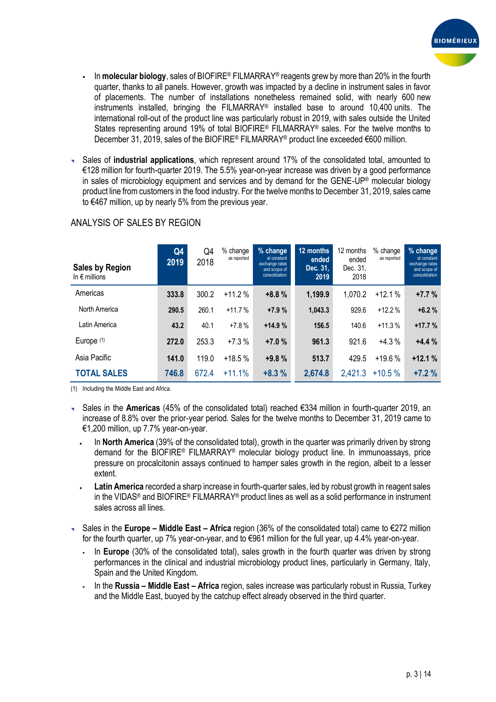

- In **molecular biology**, sales of BIOFIRE® FILMARRAY® reagents grew by more than 20% in the fourth quarter, thanks to all panels. However, growth was impacted by a decline in instrument sales in favor of placements. The number of installations nonetheless remained solid, with nearly 600 new instruments installed, bringing the FILMARRAY® installed base to around 10,400 units. The international roll-out of the product line was particularly robust in 2019, with sales outside the United States representing around 19% of total BIOFIRE<sup>®</sup> FILMARRAY<sup>®</sup> sales. For the twelve months to December 31, 2019, sales of the BIOFIRE® FILMARRAY® product line exceeded €600 million.
- Sales of **industrial applications**, which represent around 17% of the consolidated total, amounted to €128 million for fourth-quarter 2019. The 5.5% year-on-year increase was driven by a good performance in sales of microbiology equipment and services and by demand for the GENE-UP® molecular biology product line from customers in the food industry. For the twelve months to December 31, 2019, sales came to €467 million, up by nearly 5% from the previous year.

| <b>Sales by Region</b><br>In $\epsilon$ millions | Q4<br>2019 | Q4<br>2018 | $%$ change<br>as reported | % change<br>at constant<br>exchange rates<br>and scope of<br>consolidation | 12 months<br>ended<br>Dec. 31,<br>2019 | 12 months<br>ended<br>Dec. 31,<br>2018 | % change<br>as reported | % change<br>at constant<br>exchange rates<br>and scope of<br>consolidation |
|--------------------------------------------------|------------|------------|---------------------------|----------------------------------------------------------------------------|----------------------------------------|----------------------------------------|-------------------------|----------------------------------------------------------------------------|
| Americas                                         | 333.8      | 300.2      | $+11.2%$                  | $+8.8%$                                                                    | 1,199.9                                | 1,070.2                                | $+12.1%$                | $+7.7%$                                                                    |
| North America                                    | 290.5      | 260.1      | $+11.7%$                  | $+7.9%$                                                                    | 1,043.3                                | 929.6                                  | $+12.2%$                | $+6.2%$                                                                    |
| Latin America                                    | 43.2       | 40.1       | $+7.8%$                   | $+14.9%$                                                                   | 156.5                                  | 140.6                                  | $+11.3%$                | $+17.7%$                                                                   |
| Europe $(1)$                                     | 272.0      | 253.3      | $+7.3%$                   | $+7.0%$                                                                    | 961.3                                  | 921.6                                  | $+4.3%$                 | $+4.4%$                                                                    |
| Asia Pacific                                     | 141.0      | 119.0      | $+18.5%$                  | $+9.8%$                                                                    | 513.7                                  | 429.5                                  | $+19.6%$                | $+12.1%$                                                                   |
| <b>TOTAL SALES</b>                               | 746.8      | 672.4      | $+11.1%$                  | $+8.3%$                                                                    | 2,674.8                                | 2,421.3                                | $+10.5%$                | $+7.2%$                                                                    |

# ANALYSIS OF SALES BY REGION

(1) Including the Middle East and Africa.

- Sales in the **Americas** (45% of the consolidated total) reached €334 million in fourth-quarter 2019, an increase of 8.8% over the prior-year period. Sales for the twelve months to December 31, 2019 came to €1,200 million, up 7.7% year-on-year.
	- In **North America** (39% of the consolidated total), growth in the quarter was primarily driven by strong demand for the BIOFIRE® FILMARRAY® molecular biology product line. In immunoassays, price pressure on procalcitonin assays continued to hamper sales growth in the region, albeit to a lesser extent.
	- **Latin America** recorded a sharp increase in fourth-quarter sales, led by robust growth in reagent sales in the VIDAS® and BIOFIRE® FILMARRAY® product lines as well as a solid performance in instrument sales across all lines.
- Sales in the **Europe – Middle East – Africa** region (36% of the consolidated total) came to €272 million for the fourth quarter, up 7% year-on-year, and to €961 million for the full year, up 4.4% year-on-year.
	- In **Europe** (30% of the consolidated total), sales growth in the fourth quarter was driven by strong performances in the clinical and industrial microbiology product lines, particularly in Germany, Italy, Spain and the United Kingdom.
	- In the **Russia – Middle East – Africa** region, sales increase was particularly robust in Russia, Turkey and the Middle East, buoyed by the catchup effect already observed in the third quarter.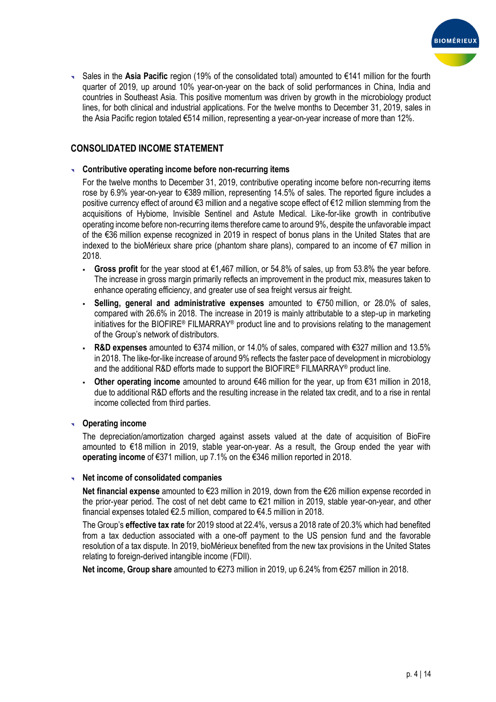

 Sales in the **Asia Pacific** region (19% of the consolidated total) amounted to €141 million for the fourth quarter of 2019, up around 10% year-on-year on the back of solid performances in China, India and countries in Southeast Asia. This positive momentum was driven by growth in the microbiology product lines, for both clinical and industrial applications. For the twelve months to December 31, 2019, sales in the Asia Pacific region totaled €514 million, representing a year-on-year increase of more than 12%.

# **CONSOLIDATED INCOME STATEMENT**

#### **Contributive operating income before non-recurring items**

For the twelve months to December 31, 2019, contributive operating income before non-recurring items rose by 6.9% year-on-year to €389 million, representing 14.5% of sales. The reported figure includes a positive currency effect of around €3 million and a negative scope effect of €12 million stemming from the acquisitions of Hybiome, Invisible Sentinel and Astute Medical. Like-for-like growth in contributive operating income before non-recurring items therefore came to around 9%, despite the unfavorable impact of the €36 million expense recognized in 2019 in respect of bonus plans in the United States that are indexed to the bioMérieux share price (phantom share plans), compared to an income of €7 million in 2018.

- **Gross profit** for the year stood at €1,467 million, or 54.8% of sales, up from 53.8% the year before. The increase in gross margin primarily reflects an improvement in the product mix, measures taken to enhance operating efficiency, and greater use of sea freight versus air freight.
- **Selling, general and administrative expenses** amounted to €750 million, or 28.0% of sales, compared with 26.6% in 2018. The increase in 2019 is mainly attributable to a step-up in marketing initiatives for the BIOFIRE® FILMARRAY® product line and to provisions relating to the management of the Group's network of distributors.
- **R&D expenses** amounted to €374 million, or 14.0% of sales, compared with €327 million and 13.5% in 2018. The like-for-like increase of around 9% reflects the faster pace of development in microbiology and the additional R&D efforts made to support the BIOFIRE® FILMARRAY® product line.
- **Other operating income** amounted to around €46 million for the year, up from €31 million in 2018, due to additional R&D efforts and the resulting increase in the related tax credit, and to a rise in rental income collected from third parties.

# **Operating income**

The depreciation/amortization charged against assets valued at the date of acquisition of BioFire amounted to €18 million in 2019, stable year-on-year. As a result, the Group ended the year with **operating income** of €371 million, up 7.1% on the €346 million reported in 2018.

#### **Net income of consolidated companies**

**Net financial expense** amounted to €23 million in 2019, down from the €26 million expense recorded in the prior-year period. The cost of net debt came to €21 million in 2019, stable year-on-year, and other financial expenses totaled €2.5 million, compared to €4.5 million in 2018.

The Group's **effective tax rate** for 2019 stood at 22.4%, versus a 2018 rate of 20.3% which had benefited from a tax deduction associated with a one-off payment to the US pension fund and the favorable resolution of a tax dispute. In 2019, bioMérieux benefited from the new tax provisions in the United States relating to foreign-derived intangible income (FDII).

**Net income, Group share** amounted to €273 million in 2019, up 6.24% from €257 million in 2018.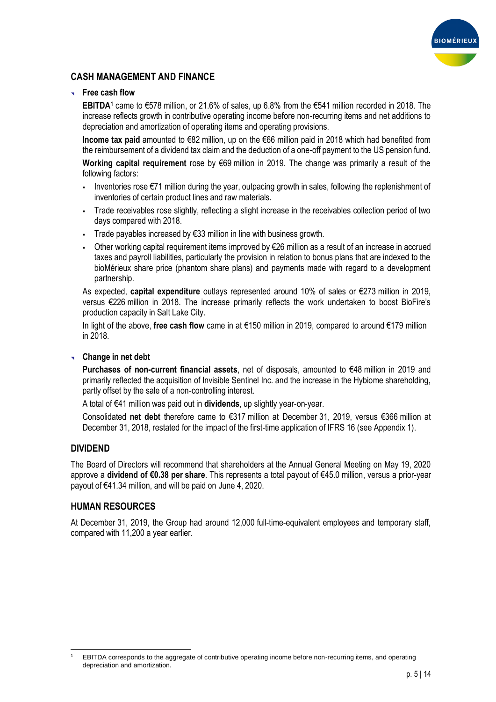

# **CASH MANAGEMENT AND FINANCE**

### **Free cash flow**

**EBITDA<sup>1</sup>** came to €578 million, or 21.6% of sales, up 6.8% from the €541 million recorded in 2018. The increase reflects growth in contributive operating income before non-recurring items and net additions to depreciation and amortization of operating items and operating provisions.

**Income tax paid** amounted to €82 million, up on the €66 million paid in 2018 which had benefited from the reimbursement of a dividend tax claim and the deduction of a one-off payment to the US pension fund.

**Working capital requirement** rose by €69 million in 2019. The change was primarily a result of the following factors:

- Inventories rose €71 million during the year, outpacing growth in sales, following the replenishment of inventories of certain product lines and raw materials.
- Trade receivables rose slightly, reflecting a slight increase in the receivables collection period of two days compared with 2018.
- Trade payables increased by €33 million in line with business growth.
- Other working capital requirement items improved by €26 million as a result of an increase in accrued taxes and payroll liabilities, particularly the provision in relation to bonus plans that are indexed to the bioMérieux share price (phantom share plans) and payments made with regard to a development partnership.

As expected, **capital expenditure** outlays represented around 10% of sales or €273 million in 2019, versus €226 million in 2018. The increase primarily reflects the work undertaken to boost BioFire's production capacity in Salt Lake City.

In light of the above, **free cash flow** came in at €150 million in 2019, compared to around €179 million in 2018.

#### **Change in net debt**

**Purchases of non-current financial assets**, net of disposals, amounted to €48 million in 2019 and primarily reflected the acquisition of Invisible Sentinel Inc. and the increase in the Hybiome shareholding, partly offset by the sale of a non-controlling interest.

A total of €41 million was paid out in **dividends**, up slightly year-on-year.

Consolidated **net debt** therefore came to €317 million at December 31, 2019, versus €366 million at December 31, 2018, restated for the impact of the first-time application of IFRS 16 (see Appendix 1).

# **DIVIDEND**

The Board of Directors will recommend that shareholders at the Annual General Meeting on May 19, 2020 approve a **dividend of €0.38 per share**. This represents a total payout of €45.0 million, versus a prior-year payout of €41.34 million, and will be paid on June 4, 2020.

# **HUMAN RESOURCES**

At December 31, 2019, the Group had around 12,000 full-time-equivalent employees and temporary staff, compared with 11,200 a year earlier.

 $\overline{a}$ <sup>1</sup> EBITDA corresponds to the aggregate of contributive operating income before non-recurring items, and operating depreciation and amortization.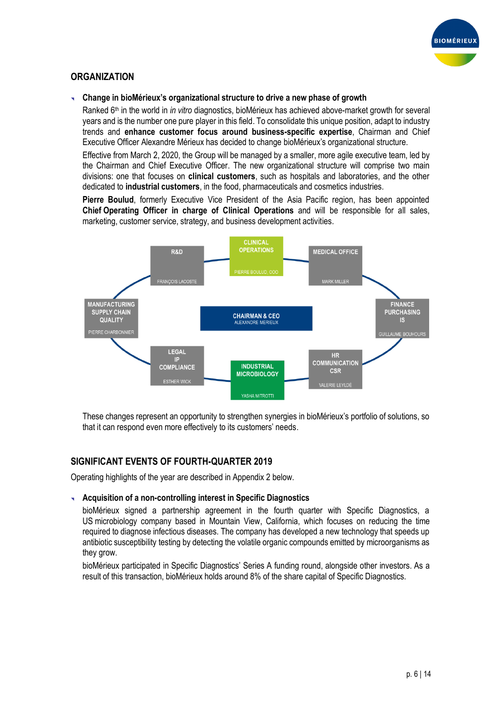

# **ORGANIZATION**

#### **Change in bioMérieux's organizational structure to drive a new phase of growth**

Ranked 6th in the world in *in vitro* diagnostics, bioMérieux has achieved above-market growth for several years and is the number one pure player in this field. To consolidate this unique position, adapt to industry trends and **enhance customer focus around business-specific expertise**, Chairman and Chief Executive Officer Alexandre Mérieux has decided to change bioMérieux's organizational structure.

Effective from March 2, 2020, the Group will be managed by a smaller, more agile executive team, led by the Chairman and Chief Executive Officer. The new organizational structure will comprise two main divisions: one that focuses on **clinical customers**, such as hospitals and laboratories, and the other dedicated to **industrial customers**, in the food, pharmaceuticals and cosmetics industries.

**Pierre Boulud**, formerly Executive Vice President of the Asia Pacific region, has been appointed **Chief Operating Officer in charge of Clinical Operations** and will be responsible for all sales, marketing, customer service, strategy, and business development activities.



These changes represent an opportunity to strengthen synergies in bioMérieux's portfolio of solutions, so that it can respond even more effectively to its customers' needs.

# **SIGNIFICANT EVENTS OF FOURTH-QUARTER 2019**

Operating highlights of the year are described in Appendix 2 below.

#### **Acquisition of a non-controlling interest in Specific Diagnostics**

bioMérieux signed a partnership agreement in the fourth quarter with Specific Diagnostics, a US microbiology company based in Mountain View, California, which focuses on reducing the time required to diagnose infectious diseases. The company has developed a new technology that speeds up antibiotic susceptibility testing by detecting the volatile organic compounds emitted by microorganisms as they grow.

bioMérieux participated in Specific Diagnostics' Series A funding round, alongside other investors. As a result of this transaction, bioMérieux holds around 8% of the share capital of Specific Diagnostics.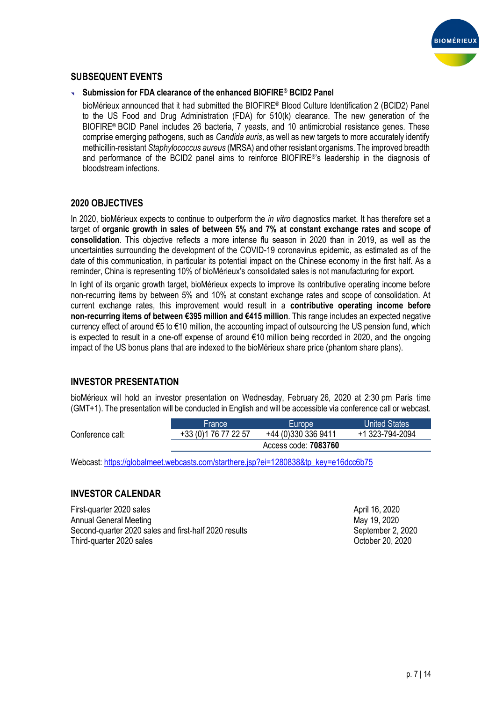

# **SUBSEQUENT EVENTS**

### **Submission for FDA clearance of the enhanced BIOFIRE® BCID2 Panel**

bioMérieux announced that it had submitted the BIOFIRE® Blood Culture Identification 2 (BCID2) Panel to the US Food and Drug Administration (FDA) for 510(k) clearance. The new generation of the BIOFIRE® BCID Panel includes 26 bacteria, 7 yeasts, and 10 antimicrobial resistance genes. These comprise emerging pathogens, such as *Candida auris*, as well as new targets to more accurately identify methicillin-resistant *Staphylococcus aureus* (MRSA) and other resistant organisms. The improved breadth and performance of the BCID2 panel aims to reinforce BIOFIRE®'s leadership in the diagnosis of bloodstream infections.

# **2020 OBJECTIVES**

In 2020, bioMérieux expects to continue to outperform the *in vitro* diagnostics market. It has therefore set a target of **organic growth in sales of between 5% and 7% at constant exchange rates and scope of consolidation**. This objective reflects a more intense flu season in 2020 than in 2019, as well as the uncertainties surrounding the development of the COVID-19 coronavirus epidemic, as estimated as of the date of this communication, in particular its potential impact on the Chinese economy in the first half. As a reminder, China is representing 10% of bioMérieux's consolidated sales is not manufacturing for export.

In light of its organic growth target, bioMérieux expects to improve its contributive operating income before non-recurring items by between 5% and 10% at constant exchange rates and scope of consolidation. At current exchange rates, this improvement would result in a **contributive operating income before non-recurring items of between €395 million and €415 million**. This range includes an expected negative currency effect of around €5 to €10 million, the accounting impact of outsourcing the US pension fund, which is expected to result in a one-off expense of around €10 million being recorded in 2020, and the ongoing impact of the US bonus plans that are indexed to the bioMérieux share price (phantom share plans).

# **INVESTOR PRESENTATION**

bioMérieux will hold an investor presentation on Wednesday, February 26, 2020 at 2:30 pm Paris time (GMT+1). The presentation will be conducted in English and will be accessible via conference call or webcast.

|                  | lFrance'              | <b>Europe</b>        | <b>United States</b> |
|------------------|-----------------------|----------------------|----------------------|
| Conference call: | +33 (0) 1 76 77 22 57 | +44 (0)330 336 9411  | +1 323-794-2094      |
|                  |                       | Access code: 7083760 |                      |
|                  |                       |                      |                      |

Webcast: [https://globalmeet.webcasts.com/starthere.jsp?ei=1280838&tp\\_key=e16dcc6b75](https://globalmeet.webcasts.com/starthere.jsp?ei=1280838&tp_key=e16dcc6b75)

# **INVESTOR CALENDAR**

First-quarter 2020 sales April 16, 2020 Annual General Meeting May 19, 2020 Second-quarter 2020 sales and first-half 2020 results September 2, 2020 Third-quarter 2020 sales **October 20, 2020**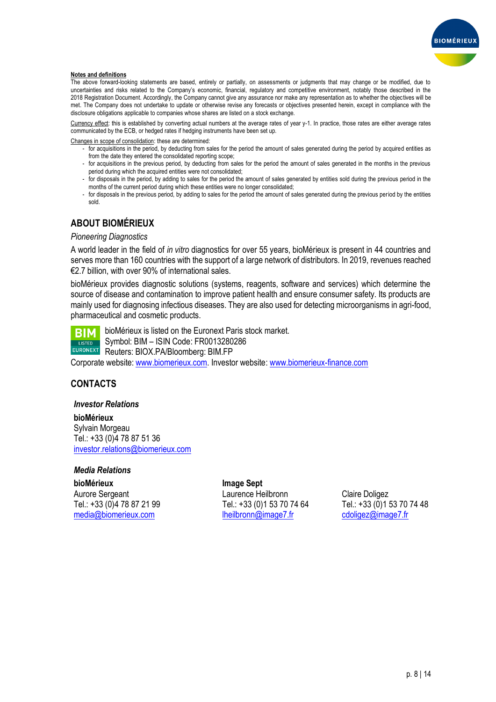

#### **Notes and definitions**

The above forward-looking statements are based, entirely or partially, on assessments or judgments that may change or be modified, due to uncertainties and risks related to the Company's economic, financial, regulatory and competitive environment, notably those described in the 2018 Registration Document. Accordingly, the Company cannot give any assurance nor make any representation as to whether the objectives will be met. The Company does not undertake to update or otherwise revise any forecasts or objectives presented herein, except in compliance with the disclosure obligations applicable to companies whose shares are listed on a stock exchange.

Currency effect: this is established by converting actual numbers at the average rates of year y-1. In practice, those rates are either average rates communicated by the ECB, or hedged rates if hedging instruments have been set up.

Changes in scope of consolidation: these are determined:

- for acquisitions in the period, by deducting from sales for the period the amount of sales generated during the period by acquired entities as from the date they entered the consolidated reporting scope;
- for acquisitions in the previous period, by deducting from sales for the period the amount of sales generated in the months in the previous period during which the acquired entities were not consolidated;
- for disposals in the period, by adding to sales for the period the amount of sales generated by entities sold during the previous period in the months of the current period during which these entities were no longer consolidated;
- for disposals in the previous period, by adding to sales for the period the amount of sales generated during the previous period by the entities sold.

# **ABOUT BIOMÉRIEUX**

#### *Pioneering Diagnostics*

A world leader in the field of *in vitro* diagnostics for over 55 years, bioMérieux is present in 44 countries and serves more than 160 countries with the support of a large network of distributors. In 2019, revenues reached €2.7 billion, with over 90% of international sales.

bioMérieux provides diagnostic solutions (systems, reagents, software and services) which determine the source of disease and contamination to improve patient health and ensure consumer safety. Its products are mainly used for diagnosing infectious diseases. They are also used for detecting microorganisms in agri-food, pharmaceutical and cosmetic products.

bioMérieux is listed on the Euronext Paris stock market. **BIM** Symbol: BIM – ISIN Code: FR0013280286 **LISTED** EURONEXT Reuters: BIOX.PA/Bloomberg: BIM.FP Corporate website: [www.biomerieux.com.](http://www.biomerieux.com/) Investor website: [www.biomerieux-finance.com](http://www.biomerieux-finance.com/)

# **CONTACTS**

#### *Investor Relations*

**bioMérieux** Sylvain Morgeau Tel.: +33 (0)4 78 87 51 36 [investor.relations@biomerieux.com](mailto:investor.relations@biomerieux.com)

#### *Media Relations*

**bioMérieux Image Sept**

Aurore Sergeant Laurence Heilbronn Claire Doligez Tel.: +33 (0)4 78 87 21 99 Tel.: +33 (0)1 53 70 74 64 Tel.: +33 (0)1 53 70 74 48 [media@biomerieux.com](mailto:media@biomerieux.com) [lheilbronn@image7.fr](mailto:lheilbronn@image7.fr) [cdoligez@image7.fr](mailto:cdoligez@image7.fr)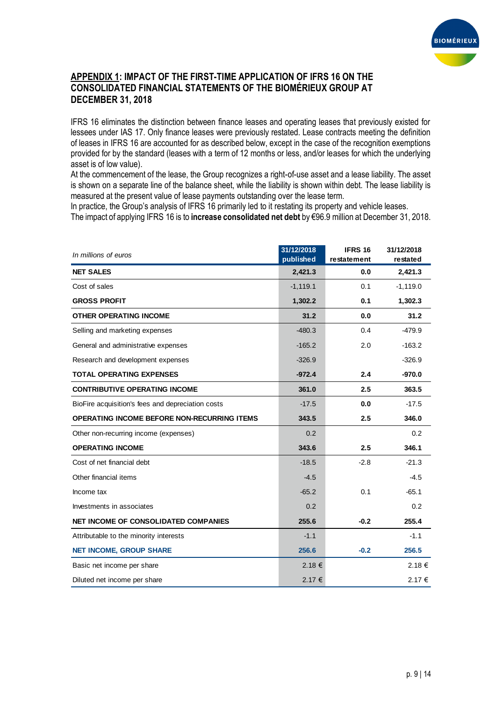

# **APPENDIX 1: IMPACT OF THE FIRST-TIME APPLICATION OF IFRS 16 ON THE CONSOLIDATED FINANCIAL STATEMENTS OF THE BIOMÉRIEUX GROUP AT DECEMBER 31, 2018**

IFRS 16 eliminates the distinction between finance leases and operating leases that previously existed for lessees under IAS 17. Only finance leases were previously restated. Lease contracts meeting the definition of leases in IFRS 16 are accounted for as described below, except in the case of the recognition exemptions provided for by the standard (leases with a term of 12 months or less, and/or leases for which the underlying asset is of low value).

At the commencement of the lease, the Group recognizes a right-of-use asset and a lease liability. The asset is shown on a separate line of the balance sheet, while the liability is shown within debt. The lease liability is measured at the present value of lease payments outstanding over the lease term.

In practice, the Group's analysis of IFRS 16 primarily led to it restating its property and vehicle leases.

The impact of applying IFRS 16 is to **increase consolidated net debt** by €96.9 million at December 31, 2018.

| In millions of euros                               | 31/12/2018<br>published | <b>IFRS 16</b><br>restatement | 31/12/2018<br>restated |
|----------------------------------------------------|-------------------------|-------------------------------|------------------------|
| <b>NET SALES</b>                                   | 2,421.3                 | 0.0                           | 2,421.3                |
| Cost of sales                                      | $-1, 119.1$             | 0.1                           | $-1,119.0$             |
| <b>GROSS PROFIT</b>                                | 1,302.2                 | 0.1                           | 1,302.3                |
| <b>OTHER OPERATING INCOME</b>                      | 31.2                    | 0.0                           | 31.2                   |
| Selling and marketing expenses                     | $-480.3$                | 0.4                           | $-479.9$               |
| General and administrative expenses                | $-165.2$                | 2.0                           | $-163.2$               |
| Research and development expenses                  | $-326.9$                |                               | $-326.9$               |
| <b>TOTAL OPERATING EXPENSES</b>                    | $-972.4$                | 2.4                           | $-970.0$               |
| <b>CONTRIBUTIVE OPERATING INCOME</b>               | 361.0                   | 2.5                           | 363.5                  |
| BioFire acquisition's fees and depreciation costs  | $-17.5$                 | 0.0                           | $-17.5$                |
| <b>OPERATING INCOME BEFORE NON-RECURRING ITEMS</b> | 343.5                   | 2.5                           | 346.0                  |
| Other non-recurring income (expenses)              | 0.2                     |                               | 0.2                    |
| <b>OPERATING INCOME</b>                            | 343.6                   | 2.5                           | 346.1                  |
| Cost of net financial debt                         | $-18.5$                 | $-2.8$                        | $-21.3$                |
| Other financial items                              | $-4.5$                  |                               | $-4.5$                 |
| Income tax                                         | $-65.2$                 | 0.1                           | $-65.1$                |
| Investments in associates                          | 0.2                     |                               | 0.2                    |
| <b>NET INCOME OF CONSOLIDATED COMPANIES</b>        | 255.6                   | $-0.2$                        | 255.4                  |
| Attributable to the minority interests             | $-1.1$                  |                               | $-1.1$                 |
| <b>NET INCOME, GROUP SHARE</b>                     | 256.6                   | $-0.2$                        | 256.5                  |
| Basic net income per share                         | 2.18 €                  |                               | 2.18€                  |
| Diluted net income per share                       | 2.17 €                  |                               | 2.17 €                 |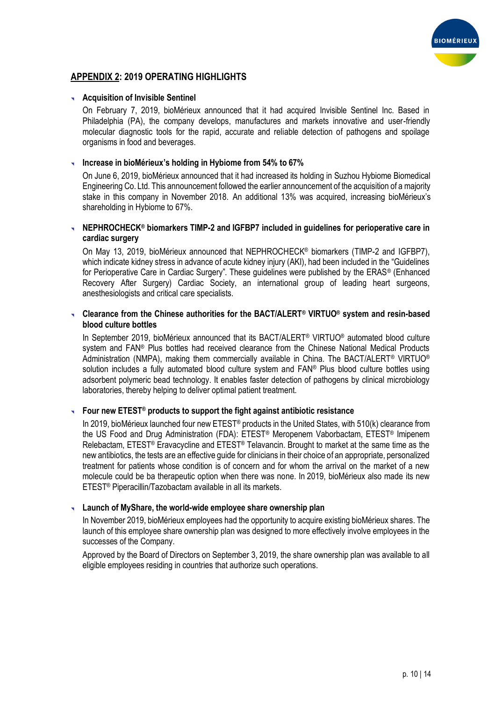

# **APPENDIX 2: 2019 OPERATING HIGHLIGHTS**

#### **Acquisition of Invisible Sentinel**

On February 7, 2019, bioMérieux announced that it had acquired Invisible Sentinel Inc. Based in Philadelphia (PA), the company develops, manufactures and markets innovative and user-friendly molecular diagnostic tools for the rapid, accurate and reliable detection of pathogens and spoilage organisms in food and beverages.

#### **Increase in bioMérieux's holding in Hybiome from 54% to 67%**

On June 6, 2019, bioMérieux announced that it had increased its holding in Suzhou Hybiome Biomedical Engineering Co. Ltd. This announcement followed the earlier announcement of the acquisition of a majority stake in this company in November 2018. An additional 13% was acquired, increasing bioMérieux's shareholding in Hybiome to 67%.

#### **NEPHROCHECK® biomarkers TIMP-2 and IGFBP7 included in guidelines for perioperative care in cardiac surgery**

On May 13, 2019, bioMérieux announced that NEPHROCHECK® biomarkers (TIMP-2 and IGFBP7), which indicate kidney stress in advance of acute kidney injury (AKI), had been included in the "Guidelines for Perioperative Care in Cardiac Surgery". These guidelines were published by the ERAS® (Enhanced Recovery After Surgery) Cardiac Society, an international group of leading heart surgeons, anesthesiologists and critical care specialists.

#### **Clearance from the Chinese authorities for the BACT/ALERT® VIRTUO® system and resin-based blood culture bottles**

In September 2019, bioMérieux announced that its BACT/ALERT® VIRTUO® automated blood culture system and FAN® Plus bottles had received clearance from the Chinese National Medical Products Administration (NMPA), making them commercially available in China. The BACT/ALERT® VIRTUO® solution includes a fully automated blood culture system and FAN® Plus blood culture bottles using adsorbent polymeric bead technology. It enables faster detection of pathogens by clinical microbiology laboratories, thereby helping to deliver optimal patient treatment.

#### **Four new ETEST® products to support the fight against antibiotic resistance**

In 2019, bioMérieux launched four new ETEST<sup>®</sup> products in the United States, with 510(k) clearance from the US Food and Drug Administration (FDA): ETEST® Meropenem Vaborbactam, ETEST® Imipenem Relebactam, ETEST® Eravacycline and ETEST® Telavancin. Brought to market at the same time as the new antibiotics, the tests are an effective guide for clinicians in their choice of an appropriate, personalized treatment for patients whose condition is of concern and for whom the arrival on the market of a new molecule could be ba therapeutic option when there was none. In 2019, bioMérieux also made its new ETEST® Piperacillin/Tazobactam available in all its markets.

#### **Launch of MyShare, the world-wide employee share ownership plan**

In November 2019, bioMérieux employees had the opportunity to acquire existing bioMérieux shares. The launch of this employee share ownership plan was designed to more effectively involve employees in the successes of the Company.

Approved by the Board of Directors on September 3, 2019, the share ownership plan was available to all eligible employees residing in countries that authorize such operations.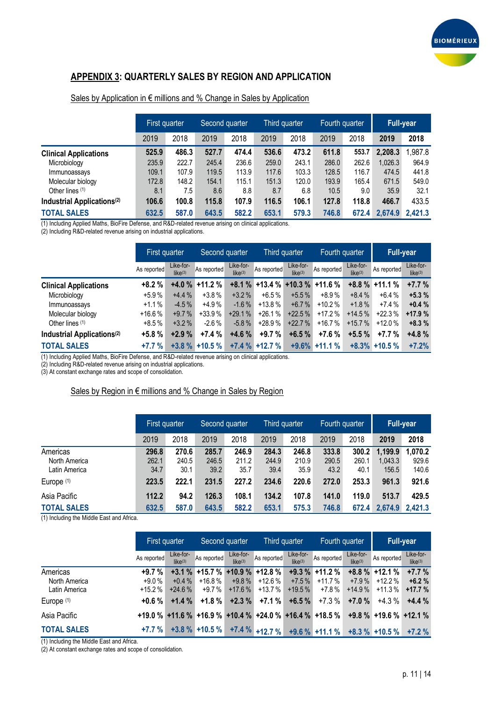

# **APPENDIX 3: QUARTERLY SALES BY REGION AND APPLICATION**

|                                        | First quarter |       | Second quarter |       | Third quarter |       | Fourth quarter |       | Full-year |         |
|----------------------------------------|---------------|-------|----------------|-------|---------------|-------|----------------|-------|-----------|---------|
|                                        | 2019          | 2018  | 2019           | 2018  | 2019          | 2018  | 2019           | 2018  | 2019      | 2018    |
| <b>Clinical Applications</b>           | 525.9         | 486.3 | 527.7          | 474.4 | 536.6         | 473.2 | 611.8          | 553.7 | 2,208.3   | .987.8  |
| Microbiology                           | 235.9         | 222.7 | 245.4          | 236.6 | 259.0         | 243.1 | 286.0          | 262.6 | 1,026.3   | 964.9   |
| Immunoassays                           | 109.1         | 107.9 | 119.5          | 113.9 | 117.6         | 103.3 | 128.5          | 116.7 | 474.5     | 441.8   |
| Molecular biology                      | 172.8         | 148.2 | 154.1          | 115.1 | 151.3         | 120.0 | 193.9          | 165.4 | 671.5     | 549.0   |
| Other lines $(1)$                      | 8.1           | 7.5   | 8.6            | 8.8   | 8.7           | 6.8   | 10.5           | 9.0   | 35.9      | 32.1    |
| Industrial Applications <sup>(2)</sup> | 106.6         | 100.8 | 115.8          | 107.9 | 116.5         | 106.1 | 127.8          | 118.8 | 466.7     | 433.5   |
| <b>TOTAL SALES</b>                     | 632.5         | 587.0 | 643.5          | 582.2 | 653.1         | 579.3 | 746.8          | 672.4 | 2,674.9   | 2.421.3 |

#### Sales by Application in € millions and % Change in Sales by Application

(1) Including Applied Maths, BioFire Defense, and R&D-related revenue arising on clinical applications.

(2) Including R&D-related revenue arising on industrial applications.

|                                        |             | First quarter<br>Second quarter  |                  | Third quarter                    |                  | Fourth quarter                   |                           | <b>Full-year</b>                 |                  |                                  |
|----------------------------------------|-------------|----------------------------------|------------------|----------------------------------|------------------|----------------------------------|---------------------------|----------------------------------|------------------|----------------------------------|
|                                        | As reported | Like-for-<br>like <sup>(3)</sup> | As reported      | Like-for-<br>like <sup>(3)</sup> | As reported      | Like-for-<br>like <sup>(3)</sup> | As reported               | Like-for-<br>like <sup>(3)</sup> | As reported      | Like-for-<br>like <sup>(3)</sup> |
| <b>Clinical Applications</b>           | $+8.2%$     | $+4.0%$                          | $+11.2%$         | $+8.1%$                          |                  |                                  | $+13.4\% +10.3\% +11.6\%$ |                                  | $+8.8\% +11.1\%$ | $+7.7%$                          |
| Microbiology                           | $+5.9%$     | $+4.4%$                          | $+3.8%$          | $+3.2\%$                         | $+6.5\%$         | $+5.5\%$                         | +8.9%                     | $+8.4%$                          | $+6.4%$          | $+5.3%$                          |
| Immunoassays                           | $+1.1%$     | $-4.5%$                          | $+4.9%$          | $-1.6\%$                         | $+13.8%$         | $+6.7\%$                         | $+10.2%$                  | $+1.8\%$                         | $+7.4%$          | $+0.4%$                          |
| Molecular biology                      | $+16.6%$    | $+9.7%$                          | $+33.9%$         | $+29.1%$                         | $+26.1%$         | $+22.5%$                         | $+17.2%$                  | $+14.5%$                         | $+22.3%$         | $+17.9%$                         |
| Other lines (1)                        | $+8.5%$     | $+3.2\%$                         | $-2.6\%$         | $-5.8%$                          | $+28.9%$         | $+22.7%$                         | $+16.7%$                  | $+15.7%$                         | $+12.0%$         | $+8.3%$                          |
| Industrial Applications <sup>(2)</sup> | $+5.8%$     | $+2.9%$                          | $+7.4%$          | $+4.6%$                          | $+9.7%$          | $+6.5%$                          | $+7.6%$                   | $+5.5%$                          | $+7.7%$          | $+4.8%$                          |
| <b>TOTAL SALES</b>                     | $+7.7%$     |                                  | $+3.8\% +10.5\%$ |                                  | $+7.4\%$ +12.7 % |                                  | $+9.6\% +11.1\%$          |                                  | $+8.3\% +10.5\%$ | $+7.2%$                          |

(1) Including Applied Maths, BioFire Defense, and R&D-related revenue arising on clinical applications.

(2) Including R&D-related revenue arising on industrial applications.

(3) At constant exchange rates and scope of consolidation.

#### Sales by Region in € millions and % Change in Sales by Region

|                                            | First quarter          |                        | Second quarter         |                        |                        | Third quarter<br>Fourth quarter |                        |                        | Full-year                   |                           |
|--------------------------------------------|------------------------|------------------------|------------------------|------------------------|------------------------|---------------------------------|------------------------|------------------------|-----------------------------|---------------------------|
|                                            | 2019                   | 2018                   | 2019                   | 2018                   | 2019                   | 2018                            | 2019                   | 2018                   | 2019                        | 2018                      |
| Americas<br>North America<br>Latin America | 296.8<br>262.1<br>34.7 | 270.6<br>240.5<br>30.1 | 285.7<br>246.5<br>39.2 | 246.9<br>211.2<br>35.7 | 284.3<br>244.9<br>39.4 | 246.8<br>210.9<br>35.9          | 333.8<br>290.5<br>43.2 | 300.2<br>260.1<br>40.1 | 1,199.9<br>1,043.3<br>156.5 | 1,070.2<br>929.6<br>140.6 |
| Europe (1)                                 | 223.5                  | 222.1                  | 231.5                  | 227.2                  | 234.6                  | 220.6                           | 272.0                  | 253.3                  | 961.3                       | 921.6                     |
| Asia Pacific                               | 112.2                  | 94.2                   | 126.3                  | 108.1                  | 134.2                  | 107.8                           | 141.0                  | 119.0                  | 513.7                       | 429.5                     |
| <b>TOTAL SALES</b>                         | 632.5                  | 587.0                  | 643.5                  | 582.2                  | 653.1                  | 575.3                           | 746.8                  | 672.4                  |                             | 2,674.9 2,421.3           |

(1) Including the Middle East and Africa.

|                                            | First quarter                  |                      | Second quarter                          |                                  | Third quarter                            |                                  | Fourth quarter                                                        |                                  | <b>Full-year</b>                         |                                  |
|--------------------------------------------|--------------------------------|----------------------|-----------------------------------------|----------------------------------|------------------------------------------|----------------------------------|-----------------------------------------------------------------------|----------------------------------|------------------------------------------|----------------------------------|
|                                            | As reported                    | Like-for-<br>like(3) | As reported                             | Like-for-<br>like <sup>(3)</sup> | As reported                              | Like-for-<br>like <sup>(3)</sup> | As reported                                                           | Like-for-<br>like <sup>(3)</sup> | As reported                              | Like-for-<br>like <sup>(3)</sup> |
| Americas<br>North America<br>Latin America | $+9.7%$<br>$+9.0%$<br>$+15.2%$ | $+0.4%$<br>$+24.6%$  | $+3.1\% +15.7\%$<br>$+16.8%$<br>$+9.7%$ | $+9.8\%$<br>$+17.6%$             | $+10.9\%$ +12.8 %<br>+12.6 %<br>$+13.7%$ | $+9.3%$<br>$+7.5%$<br>$+19.5%$   | $+11.2%$<br>$+11.7%$<br>$+7.8%$                                       | $+7.9%$<br>$+14.9%$              | $+8.8\%$ +12.1 %<br>$+12.2%$<br>$+11.3%$ | $+7.7%$<br>$+6.2%$<br>$+17.7%$   |
| Europe <sup>(1)</sup>                      | $+0.6%$                        | $+1.4%$              | $+1.8%$                                 | $+2.3%$                          | $+7.1%$                                  | $+6.5%$                          | $+7.3%$                                                               | $+7.0%$                          | $+4.3%$                                  | $+4.4%$                          |
| Asia Pacific                               |                                |                      |                                         |                                  |                                          |                                  | $+19.0$ % $+11.6$ % $+16.9$ % $+10.4$ % $+24.0$ % $+16.4$ % $+18.5$ % |                                  | $+9.8\% +19.6\% +12.1\%$                 |                                  |
| <b>TOTAL SALES</b>                         | $+7.7%$                        |                      | $+3.8\% +10.5\%$                        |                                  | $+7.4\% +12.7\%$                         |                                  | $+9.6\%$ +11.1 %                                                      |                                  | $+8.3\%$ +10.5 %                         | $+7.2%$                          |

(1) Including the Middle East and Africa.

(2) At constant exchange rates and scope of consolidation.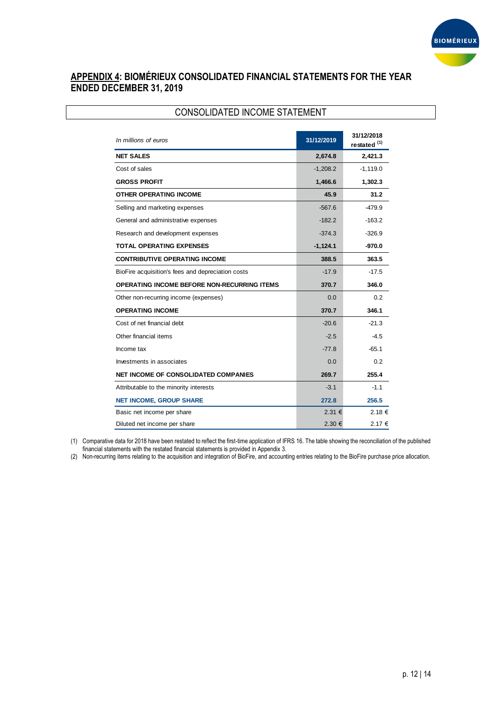

# **APPENDIX 4: BIOMÉRIEUX CONSOLIDATED FINANCIAL STATEMENTS FOR THE YEAR ENDED DECEMBER 31, 2019**

| <b>CONSOLIDATED INCOME STATEMENT</b>               |            |                              |  |  |  |  |  |
|----------------------------------------------------|------------|------------------------------|--|--|--|--|--|
| In millions of euros                               | 31/12/2019 | 31/12/2018<br>restated $(1)$ |  |  |  |  |  |
| <b>NET SALES</b>                                   | 2,674.8    | 2,421.3                      |  |  |  |  |  |
| Cost of sales                                      | $-1,208.2$ | $-1,119.0$                   |  |  |  |  |  |
| <b>GROSS PROFIT</b>                                | 1,466.6    | 1,302.3                      |  |  |  |  |  |
| <b>OTHER OPERATING INCOME</b>                      | 45.9       | 31.2                         |  |  |  |  |  |
| Selling and marketing expenses                     | $-567.6$   | $-479.9$                     |  |  |  |  |  |
| General and administrative expenses                | $-182.2$   | $-163.2$                     |  |  |  |  |  |
| Research and development expenses                  | $-374.3$   | $-326.9$                     |  |  |  |  |  |
| <b>TOTAL OPERATING EXPENSES</b>                    | $-1,124.1$ | -970.0                       |  |  |  |  |  |
| <b>CONTRIBUTIVE OPERATING INCOME</b>               | 388.5      | 363.5                        |  |  |  |  |  |
| BioFire acquisition's fees and depreciation costs  | $-17.9$    | $-17.5$                      |  |  |  |  |  |
| <b>OPERATING INCOME BEFORE NON-RECURRING ITEMS</b> | 370.7      | 346.0                        |  |  |  |  |  |
| Other non-recurring income (expenses)              | 0.0        | 0.2                          |  |  |  |  |  |
| <b>OPERATING INCOME</b>                            | 370.7      | 346.1                        |  |  |  |  |  |
| Cost of net financial debt                         | $-20.6$    | $-21.3$                      |  |  |  |  |  |
| Other financial items                              | $-2.5$     | $-4.5$                       |  |  |  |  |  |
| Income tax                                         | $-77.8$    | $-65.1$                      |  |  |  |  |  |
| Investments in associates                          | 0.0        | 0.2                          |  |  |  |  |  |
| NET INCOME OF CONSOLIDATED COMPANIES               | 269.7      | 255.4                        |  |  |  |  |  |
| Attributable to the minority interests             | $-3.1$     | $-1.1$                       |  |  |  |  |  |
| <b>NET INCOME, GROUP SHARE</b>                     | 272.8      | 256.5                        |  |  |  |  |  |
| Basic net income per share                         | 2.31€      | 2.18 €                       |  |  |  |  |  |
| Diluted net income per share                       | 2.30€      | 2.17 €                       |  |  |  |  |  |

(1) Comparative data for 2018 have been restated to reflect the first-time application of IFRS 16. The table showing the reconciliation of the published financial statements with the restated financial statements is provided in Appendix 3.

(2) Non-recurring items relating to the acquisition and integration of BioFire, and accounting entries relating to the BioFire purchase price allocation.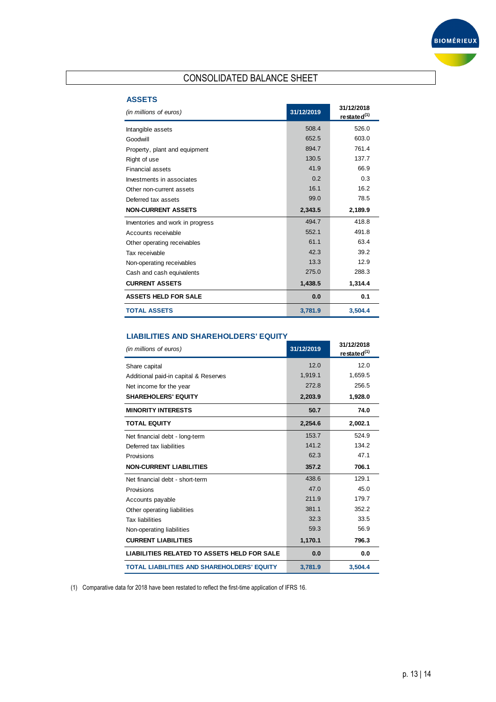

# CONSOLIDATED BALANCE SHEET

# **ASSETS**

| (in millions of euros)           | 31/12/2019 | 31/12/2018<br>restated <sup>(1)</sup> |
|----------------------------------|------------|---------------------------------------|
| Intangible assets                | 508.4      | 526.0                                 |
| Goodwill                         | 652.5      | 603.0                                 |
| Property, plant and equipment    | 894.7      | 761.4                                 |
| Right of use                     | 130.5      | 137.7                                 |
| <b>Financial assets</b>          | 41.9       | 66.9                                  |
| Investments in associates        | 0.2        | 0.3                                   |
| Other non-current assets         | 16.1       | 16.2                                  |
| Deferred tax assets              | 99.0       | 78.5                                  |
| <b>NON-CURRENT ASSETS</b>        | 2,343.5    | 2,189.9                               |
| Inventories and work in progress | 494.7      | 418.8                                 |
| Accounts receivable              | 552.1      | 491.8                                 |
| Other operating receivables      | 61.1       | 63.4                                  |
| Tax receivable                   | 42.3       | 39.2                                  |
| Non-operating receivables        | 13.3       | 12.9                                  |
| Cash and cash equivalents        | 275.0      | 288.3                                 |
| <b>CURRENT ASSETS</b>            | 1.438.5    | 1.314.4                               |
| <b>ASSETS HELD FOR SALE</b>      | 0.0        | 0.1                                   |
| <b>TOTAL ASSETS</b>              | 3,781.9    | 3.504.4                               |

#### **LIABILITIES AND SHAREHOLDERS' EQUITY**

| (in millions of euros)                             | 31/12/2019 | 31/12/2018<br>restated <sup>(1)</sup> |
|----------------------------------------------------|------------|---------------------------------------|
| Share capital                                      | 12.0       | 12.0                                  |
| Additional paid-in capital & Reserves              | 1,919.1    | 1,659.5                               |
| Net income for the year                            | 272.8      | 256.5                                 |
| <b>SHAREHOLERS' EQUITY</b>                         | 2,203.9    | 1,928.0                               |
| <b>MINORITY INTERESTS</b>                          | 50.7       | 74.0                                  |
| <b>TOTAL EQUITY</b>                                | 2,254.6    | 2,002.1                               |
| Net financial debt - long-term                     | 153.7      | 524.9                                 |
| Deferred tax liabilities                           | 141.2      | 134.2                                 |
| Provisions                                         | 62.3       | 47.1                                  |
| <b>NON-CURRENT LIABILITIES</b>                     | 357.2      | 706.1                                 |
| Net financial debt - short-term                    | 438.6      | 129.1                                 |
| Provisions                                         | 47.0       | 45.0                                  |
| Accounts payable                                   | 211.9      | 179.7                                 |
| Other operating liabilities                        | 381.1      | 352.2                                 |
| <b>Tax liabilities</b>                             | 32.3       | 33.5                                  |
| Non-operating liabilities                          | 59.3       | 56.9                                  |
| <b>CURRENT LIABILITIES</b>                         | 1,170.1    | 796.3                                 |
| <b>LIABILITIES RELATED TO ASSETS HELD FOR SALE</b> | 0.0        | 0.0                                   |
| <b>TOTAL LIABILITIES AND SHAREHOLDERS' EQUITY</b>  | 3,781.9    | 3.504.4                               |

(1) Comparative data for 2018 have been restated to reflect the first-time application of IFRS 16.